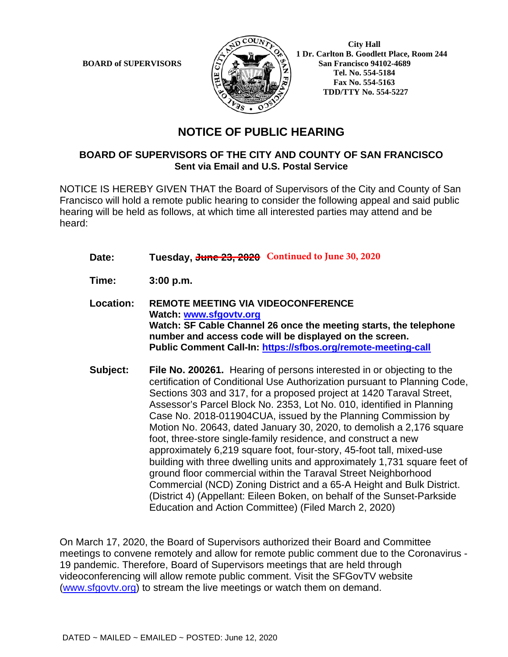

 **City Hall 1 Dr. Carlton B. Goodlett Place, Room 244 BOARD of SUPERVISORS**  $\left(\frac{S}{I}\right)$   $\oplus$   $\left(\frac{S}{I}\right)$  San Francisco 94102-4689  **Tel. No. 554-5184 Fax No. 554-5163 TDD/TTY No. 554-5227**

## **NOTICE OF PUBLIC HEARING**

## **BOARD OF SUPERVISORS OF THE CITY AND COUNTY OF SAN FRANCISCO Sent via Email and U.S. Postal Service**

NOTICE IS HEREBY GIVEN THAT the Board of Supervisors of the City and County of San Francisco will hold a remote public hearing to consider the following appeal and said public hearing will be held as follows, at which time all interested parties may attend and be heard:

- Date: Tuesday, June 23, 2020 Continued to June 30, 2020
- **Time: 3:00 p.m.**
- **Location: REMOTE MEETING VIA VIDEOCONFERENCE Watch: www.sfgovtv.org Watch: SF Cable Channel 26 once the meeting starts, the telephone number and access code will be displayed on the screen. Public Comment Call-In: https://sfbos.org/remote-meeting-call**
- **Subject: File No. 200261.** Hearing of persons interested in or objecting to the certification of Conditional Use Authorization pursuant to Planning Code, Sections 303 and 317, for a proposed project at 1420 Taraval Street, Assessor's Parcel Block No. 2353, Lot No. 010, identified in Planning Case No. 2018-011904CUA, issued by the Planning Commission by Motion No. 20643, dated January 30, 2020, to demolish a 2,176 square foot, three-store single-family residence, and construct a new approximately 6,219 square foot, four-story, 45-foot tall, mixed-use building with three dwelling units and approximately 1,731 square feet of ground floor commercial within the Taraval Street Neighborhood Commercial (NCD) Zoning District and a 65-A Height and Bulk District. (District 4) (Appellant: Eileen Boken, on behalf of the Sunset-Parkside Education and Action Committee) (Filed March 2, 2020)

On March 17, 2020, the Board of Supervisors authorized their Board and Committee meetings to convene remotely and allow for remote public comment due to the Coronavirus - 19 pandemic. Therefore, Board of Supervisors meetings that are held through videoconferencing will allow remote public comment. Visit the SFGovTV website (www.sfgovtv.org) to stream the live meetings or watch them on demand.